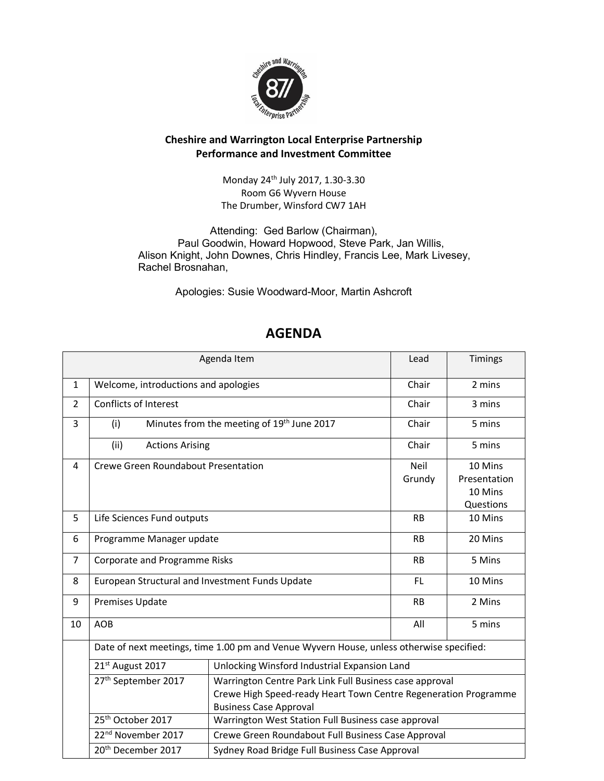

## Cheshire and Warrington Local Enterprise Partnership Performance and Investment Committee

Monday 24th July 2017, 1.30-3.30 Room G6 Wyvern House The Drumber, Winsford CW7 1AH

Attending: Ged Barlow (Chairman), Paul Goodwin, Howard Hopwood, Steve Park, Jan Willis, Alison Knight, John Downes, Chris Hindley, Francis Lee, Mark Livesey, Rachel Brosnahan,

Apologies: Susie Woodward-Moor, Martin Ashcroft

| Agenda Item    |                                                                                         |                                                                 |             | Timings      |
|----------------|-----------------------------------------------------------------------------------------|-----------------------------------------------------------------|-------------|--------------|
| $\mathbf{1}$   | Welcome, introductions and apologies                                                    |                                                                 | Chair       | 2 mins       |
| $\overline{2}$ | <b>Conflicts of Interest</b>                                                            |                                                                 | Chair       | 3 mins       |
| 3              | (i)                                                                                     | Minutes from the meeting of 19 <sup>th</sup> June 2017          | Chair       | 5 mins       |
|                | (ii)<br><b>Actions Arising</b>                                                          |                                                                 | Chair       | 5 mins       |
| 4              | Crewe Green Roundabout Presentation                                                     |                                                                 | <b>Neil</b> | 10 Mins      |
|                |                                                                                         |                                                                 | Grundy      | Presentation |
|                |                                                                                         |                                                                 |             | 10 Mins      |
|                |                                                                                         |                                                                 |             | Questions    |
| 5              | Life Sciences Fund outputs                                                              |                                                                 | <b>RB</b>   | 10 Mins      |
| 6              | Programme Manager update                                                                |                                                                 | <b>RB</b>   | 20 Mins      |
| $\overline{7}$ | Corporate and Programme Risks                                                           |                                                                 | <b>RB</b>   | 5 Mins       |
| 8              | European Structural and Investment Funds Update                                         |                                                                 | <b>FL</b>   | 10 Mins      |
| 9              | <b>Premises Update</b>                                                                  |                                                                 | <b>RB</b>   | 2 Mins       |
| 10             | <b>AOB</b>                                                                              |                                                                 | All         | 5 mins       |
|                | Date of next meetings, time 1.00 pm and Venue Wyvern House, unless otherwise specified: |                                                                 |             |              |
|                | 21st August 2017                                                                        | Unlocking Winsford Industrial Expansion Land                    |             |              |
|                | 27 <sup>th</sup> September 2017                                                         | Warrington Centre Park Link Full Business case approval         |             |              |
|                |                                                                                         | Crewe High Speed-ready Heart Town Centre Regeneration Programme |             |              |
|                | <b>Business Case Approval</b>                                                           |                                                                 |             |              |
|                | 25 <sup>th</sup> October 2017                                                           | Warrington West Station Full Business case approval             |             |              |
|                | 22 <sup>nd</sup> November 2017<br>Crewe Green Roundabout Full Business Case Approval    |                                                                 |             |              |
|                | 20 <sup>th</sup> December 2017<br>Sydney Road Bridge Full Business Case Approval        |                                                                 |             |              |

## AGENDA